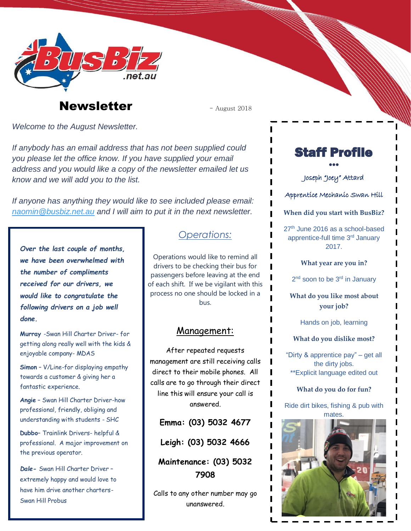

# **Newsletter**  $\qquad \qquad -$  August 2018

*Welcome to the August Newsletter.*

*If anybody has an email address that has not been supplied could you please let the office know. If you have supplied your email address and you would like a copy of the newsletter emailed let us know and we will add you to the list.*

*If anyone has anything they would like to see included please email: [naomin@busbiz.net.au](mailto:naomin@busbiz.net.au) and I will aim to put it in the next newsletter.*

*Over the last couple of months, we have been overwhelmed with the number of compliments received for our drivers, we would like to congratulate the following drivers on a job well done.*

**Murray** -Swan Hill Charter Driver- for getting along really well with the kids & enjoyable company- MDAS

**Simon** – V/Line-for displaying empathy towards a customer & giving her a fantastic experience.

**Angie** – Swan Hill Charter Driver-how professional, friendly, obliging and understanding with students - SHC

**Dubbo**– Trainlink Drivers- helpful & professional. A major improvement on the previous operator.

*Dale-* Swan Hill Charter Driver – extremely happy and would love to have him drive another charters-Swan Hill Probus

### *Operations:*

Operations would like to remind all drivers to be checking their bus for passengers before leaving at the end of each shift. If we be vigilant with this process no one should be locked in a bus.

#### Management:

After repeated requests management are still receiving calls direct to their mobile phones. All calls are to go through their direct line this will ensure your call is answered.

**Emma: (03) 5032 4677**

**Leigh: (03) 5032 4666**

**Maintenance: (03) 5032 7908**

Calls to any other number may go unanswered.

## Staff Profile •••

Joseph "Joey" Attard

Apprentice Mechanic Swan Hill

**When did you start with BusBiz?**

27<sup>th</sup> June 2016 as a school-based apprentice-full time 3rd January 2017.

**What year are you in?**

2<sup>nd</sup> soon to be 3<sup>rd</sup> in January

**What do you like most about your job?**

Hands on job, learning

**What do you dislike most?**

"Dirty & apprentice pay" – get all the dirty jobs. \*\*Explicit language edited out

#### **What do you do for fun?**

Ride dirt bikes, fishing & pub with mates.